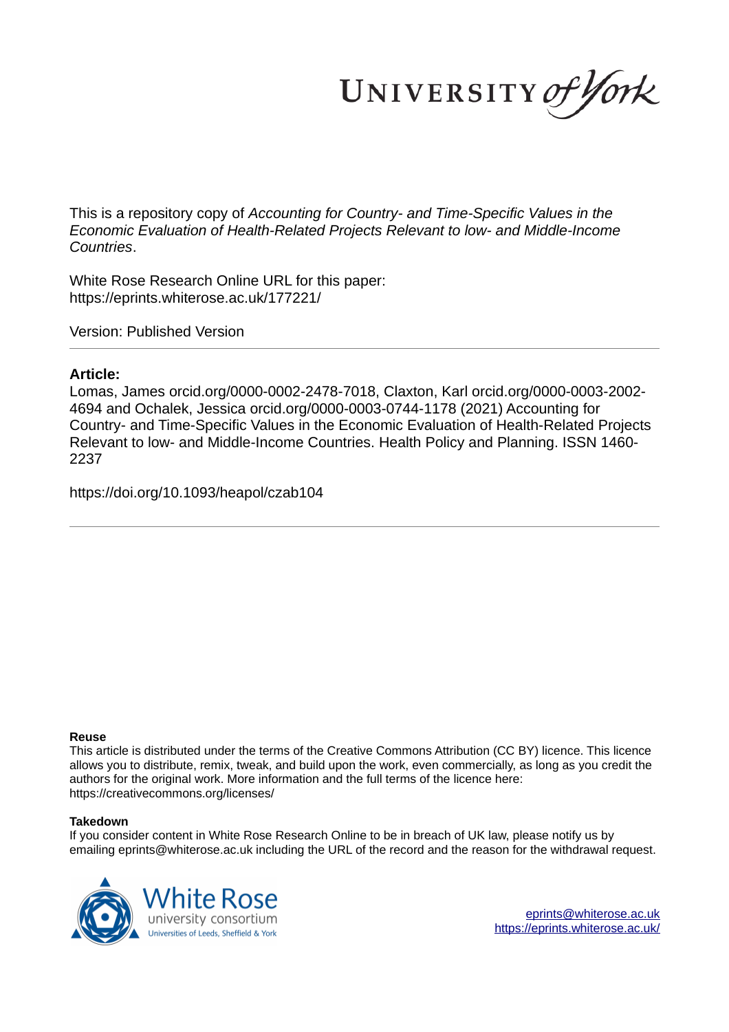UNIVERSITY of York

This is a repository copy of *Accounting for Country- and Time-Specific Values in the Economic Evaluation of Health-Related Projects Relevant to low- and Middle-Income Countries*.

White Rose Research Online URL for this paper: https://eprints.whiterose.ac.uk/177221/

Version: Published Version

# **Article:**

Lomas, James orcid.org/0000-0002-2478-7018, Claxton, Karl orcid.org/0000-0003-2002- 4694 and Ochalek, Jessica orcid.org/0000-0003-0744-1178 (2021) Accounting for Country- and Time-Specific Values in the Economic Evaluation of Health-Related Projects Relevant to low- and Middle-Income Countries. Health Policy and Planning. ISSN 1460- 2237

https://doi.org/10.1093/heapol/czab104

# **Reuse**

This article is distributed under the terms of the Creative Commons Attribution (CC BY) licence. This licence allows you to distribute, remix, tweak, and build upon the work, even commercially, as long as you credit the authors for the original work. More information and the full terms of the licence here: https://creativecommons.org/licenses/

# **Takedown**

If you consider content in White Rose Research Online to be in breach of UK law, please notify us by emailing eprints@whiterose.ac.uk including the URL of the record and the reason for the withdrawal request.

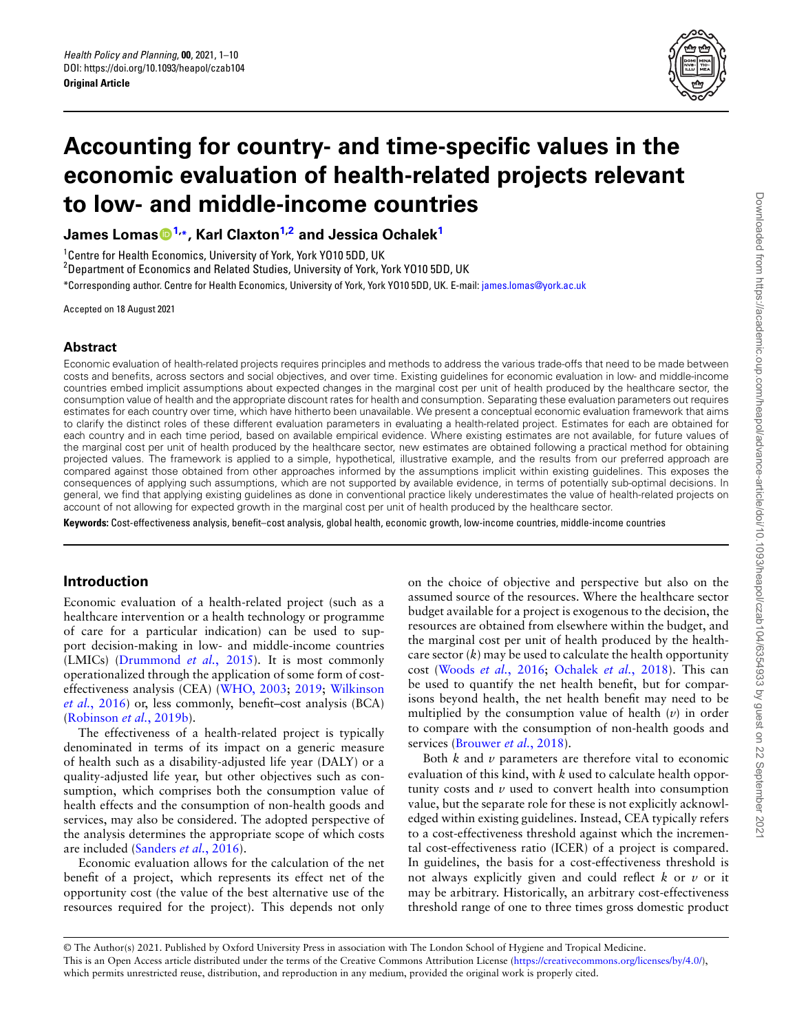

# **Accounting for country- and time-specific values in the economic evaluation of health-related projects relevant to low- and middle-income countries**

**James Lomas1,\*, Karl Claxton1,2 and Jessica Ochalek<sup>1</sup>**

1 Centre for Health Economics, University of York, York YO10 5DD, UK

<sup>2</sup>Department of Economics and Related Studies, University of York, York YO10 5DD, UK

\*Corresponding author. Centre for Health Economics, University of York, York YO10 5DD, UK. E-mail: james.lomas@york.ac.uk

Accepted on 18 August 2021

## **Abstract**

Economic evaluation of health-related projects requires principles and methods to address the various trade-offs that need to be made between costs and benefits, across sectors and social objectives, and over time. Existing guidelines for economic evaluation in low- and middle-income countries embed implicit assumptions about expected changes in the marginal cost per unit of health produced by the healthcare sector, the consumption value of health and the appropriate discount rates for health and consumption. Separating these evaluation parameters out requires estimates for each country over time, which have hitherto been unavailable. We present a conceptual economic evaluation framework that aims to clarify the distinct roles of these different evaluation parameters in evaluating a health-related project. Estimates for each are obtained for each country and in each time period, based on available empirical evidence. Where existing estimates are not available, for future values of the marginal cost per unit of health produced by the healthcare sector, new estimates are obtained following a practical method for obtaining projected values. The framework is applied to a simple, hypothetical, illustrative example, and the results from our preferred approach are compared against those obtained from other approaches informed by the assumptions implicit within existing guidelines. This exposes the consequences of applying such assumptions, which are not supported by available evidence, in terms of potentially sub-optimal decisions. In general, we find that applying existing guidelines as done in conventional practice likely underestimates the value of health-related projects on account of not allowing for expected growth in the marginal cost per unit of health produced by the healthcare sector.

**Keywords:** Cost-effectiveness analysis, benefit–cost analysis, global health, economic growth, low-income countries, middle-income countries

# **Introduction**

Economic evaluation of a health-related project (such as a healthcare intervention or a health technology or programme of care for a particular indication) can be used to support decision-making in low- and middle-income countries (LMICs) (Drummond *et al.*, 2015). It is most commonly operationalized through the application of some form of costeffectiveness analysis (CEA) (WHO, 2003; 2019; Wilkinson *et al.*, 2016) or, less commonly, benefit–cost analysis (BCA) (Robinson *et al.*, 2019b).

The effectiveness of a health-related project is typically denominated in terms of its impact on a generic measure of health such as a disability-adjusted life year (DALY) or a quality-adjusted life year, but other objectives such as consumption, which comprises both the consumption value of health effects and the consumption of non-health goods and services, may also be considered. The adopted perspective of the analysis determines the appropriate scope of which costs are included (Sanders *et al.*, 2016).

Economic evaluation allows for the calculation of the net benefit of a project, which represents its effect net of the opportunity cost (the value of the best alternative use of the resources required for the project). This depends not only

on the choice of objective and perspective but also on the assumed source of the resources. Where the healthcare sector budget available for a project is exogenous to the decision, the resources are obtained from elsewhere within the budget, and the marginal cost per unit of health produced by the healthcare sector  $(k)$  may be used to calculate the health opportunity cost (Woods *et al.*, 2016; Ochalek *et al.*, 2018). This can be used to quantify the net health benefit, but for comparisons beyond health, the net health benefit may need to be multiplied by the consumption value of health (*v*) in order to compare with the consumption of non-health goods and services (Brouwer *et al.*, 2018).

Both *k* and *v* parameters are therefore vital to economic evaluation of this kind, with *k* used to calculate health opportunity costs and  $\nu$  used to convert health into consumption value, but the separate role for these is not explicitly acknowledged within existing guidelines. Instead, CEA typically refers to a cost-effectiveness threshold against which the incremental cost-effectiveness ratio (ICER) of a project is compared. In guidelines, the basis for a cost-effectiveness threshold is not always explicitly given and could reflect *k* or *v* or it may be arbitrary. Historically, an arbitrary cost-effectiveness threshold range of one to three times gross domestic product

© The Author(s) 2021. Published by Oxford University Press in association with The London School of Hygiene and Tropical Medicine. This is an Open Access article distributed under the terms of the Creative Commons Attribution License (https://creativecommons.org/licenses/by/4.0/), which permits unrestricted reuse, distribution, and reproduction in any medium, provided the original work is properly cited.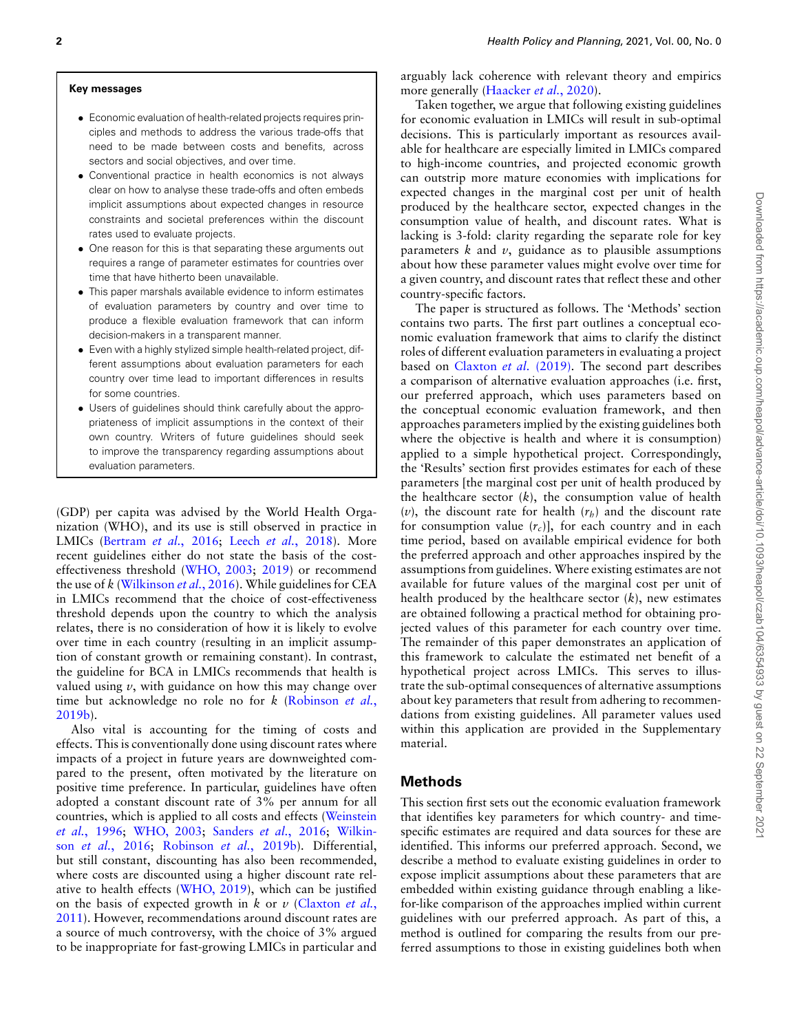#### **Key messages**

- Economic evaluation of health-related projects requires principles and methods to address the various trade-offs that need to be made between costs and benefits, across sectors and social objectives, and over time.
- Conventional practice in health economics is not always clear on how to analyse these trade-offs and often embeds implicit assumptions about expected changes in resource constraints and societal preferences within the discount rates used to evaluate projects.
- One reason for this is that separating these arguments out requires a range of parameter estimates for countries over time that have hitherto been unavailable.
- This paper marshals available evidence to inform estimates of evaluation parameters by country and over time to produce a flexible evaluation framework that can inform decision-makers in a transparent manner.
- Even with a highly stylized simple health-related project, different assumptions about evaluation parameters for each country over time lead to important differences in results for some countries.
- Users of guidelines should think carefully about the appropriateness of implicit assumptions in the context of their own country. Writers of future guidelines should seek to improve the transparency regarding assumptions about evaluation parameters.

(GDP) per capita was advised by the World Health Organization (WHO), and its use is still observed in practice in LMICs (Bertram *et al.*, 2016; Leech *et al.*, 2018). More recent guidelines either do not state the basis of the costeffectiveness threshold (WHO, 2003; 2019) or recommend the use of *k* (Wilkinson *et al.*, 2016). While guidelines for CEA in LMICs recommend that the choice of cost-effectiveness threshold depends upon the country to which the analysis relates, there is no consideration of how it is likely to evolve over time in each country (resulting in an implicit assumption of constant growth or remaining constant). In contrast, the guideline for BCA in LMICs recommends that health is valued using  $\nu$ , with guidance on how this may change over time but acknowledge no role no for *k* (Robinson *et al.*, 2019b).

Also vital is accounting for the timing of costs and effects. This is conventionally done using discount rates where impacts of a project in future years are downweighted compared to the present, often motivated by the literature on positive time preference. In particular, guidelines have often adopted a constant discount rate of 3% per annum for all countries, which is applied to all costs and effects (Weinstein *et al.*, 1996; WHO, 2003; Sanders *et al.*, 2016; Wilkinson *et al.*, 2016; Robinson *et al.*, 2019b). Differential, but still constant, discounting has also been recommended, where costs are discounted using a higher discount rate relative to health effects (WHO, 2019), which can be justified on the basis of expected growth in *k* or *v* (Claxton *et al.*, 2011). However, recommendations around discount rates are a source of much controversy, with the choice of 3% argued to be inappropriate for fast-growing LMICs in particular and

arguably lack coherence with relevant theory and empirics more generally (Haacker *et al.*, 2020).

Taken together, we argue that following existing guidelines for economic evaluation in LMICs will result in sub-optimal decisions. This is particularly important as resources available for healthcare are especially limited in LMICs compared to high-income countries, and projected economic growth can outstrip more mature economies with implications for expected changes in the marginal cost per unit of health produced by the healthcare sector, expected changes in the consumption value of health, and discount rates. What is lacking is 3-fold: clarity regarding the separate role for key parameters  $k$  and  $v$ , guidance as to plausible assumptions about how these parameter values might evolve over time for a given country, and discount rates that reflect these and other country-specific factors.

The paper is structured as follows. The 'Methods' section contains two parts. The first part outlines a conceptual economic evaluation framework that aims to clarify the distinct roles of different evaluation parameters in evaluating a project based on Claxton *et al*. (2019). The second part describes a comparison of alternative evaluation approaches (i.e. first, our preferred approach, which uses parameters based on the conceptual economic evaluation framework, and then approaches parameters implied by the existing guidelines both where the objective is health and where it is consumption) applied to a simple hypothetical project. Correspondingly, the 'Results' section first provides estimates for each of these parameters [the marginal cost per unit of health produced by the healthcare sector  $(k)$ , the consumption value of health  $(v)$ , the discount rate for health  $(r_h)$  and the discount rate for consumption value  $(r_c)$ ], for each country and in each time period, based on available empirical evidence for both the preferred approach and other approaches inspired by the assumptions from guidelines. Where existing estimates are not available for future values of the marginal cost per unit of health produced by the healthcare sector (*k*), new estimates are obtained following a practical method for obtaining projected values of this parameter for each country over time. The remainder of this paper demonstrates an application of this framework to calculate the estimated net benefit of a hypothetical project across LMICs. This serves to illustrate the sub-optimal consequences of alternative assumptions about key parameters that result from adhering to recommendations from existing guidelines. All parameter values used within this application are provided in the Supplementary material.

# **Methods**

This section first sets out the economic evaluation framework that identifies key parameters for which country- and timespecific estimates are required and data sources for these are identified. This informs our preferred approach. Second, we describe a method to evaluate existing guidelines in order to expose implicit assumptions about these parameters that are embedded within existing guidance through enabling a likefor-like comparison of the approaches implied within current guidelines with our preferred approach. As part of this, a method is outlined for comparing the results from our preferred assumptions to those in existing guidelines both when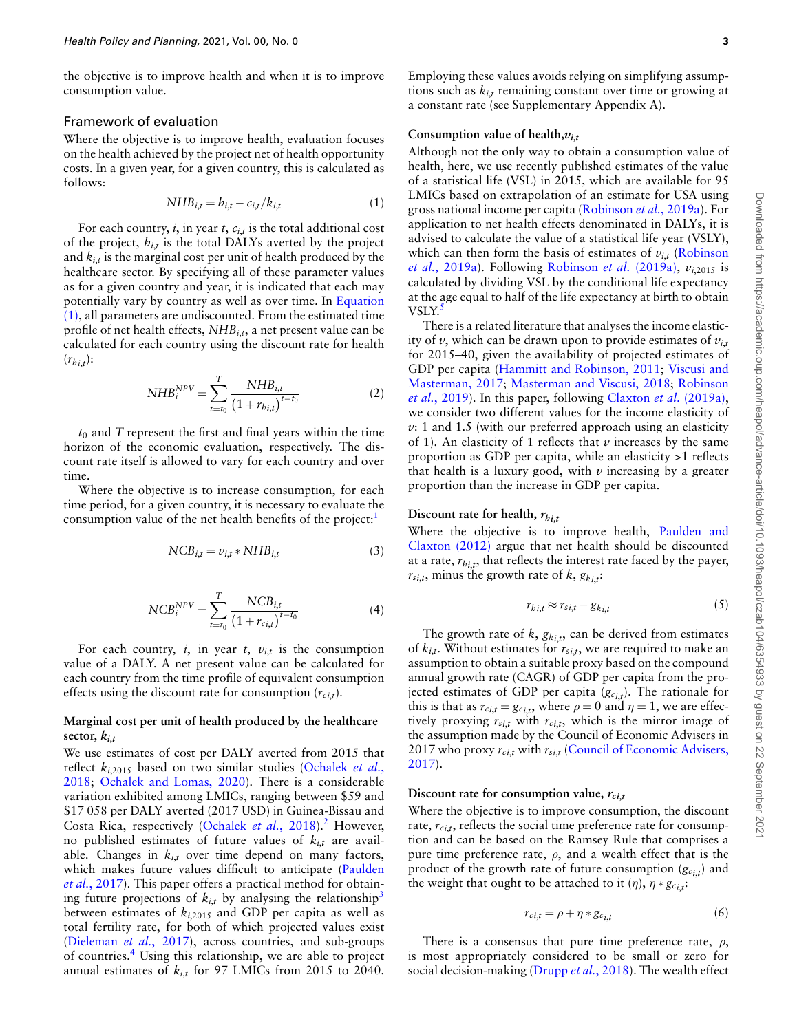the objective is to improve health and when it is to improve consumption value.

#### Framework of evaluation

Where the objective is to improve health, evaluation focuses on the health achieved by the project net of health opportunity costs. In a given year, for a given country, this is calculated as follows:

$$
NHB_{i,t} = b_{i,t} - c_{i,t}/k_{i,t}
$$
 (1)

For each country, *i*, in year *t*, *ci*,*<sup>t</sup>* is the total additional cost of the project, *hi*,*<sup>t</sup>* is the total DALYs averted by the project and *ki*,*<sup>t</sup>* is the marginal cost per unit of health produced by the healthcare sector. By specifying all of these parameter values as for a given country and year, it is indicated that each may potentially vary by country as well as over time. In Equation (1), all parameters are undiscounted. From the estimated time profile of net health effects, *NHBi*,*<sup>t</sup>* , a net present value can be calculated for each country using the discount rate for health  $(r_{b i,t})$ :

$$
NHB_i^{NPV} = \sum_{t=t_0}^{T} \frac{NHB_{i,t}}{(1 + r_{b,i,t})^{t-t_0}}
$$
 (2)

 $t_0$  and  $T$  represent the first and final years within the time horizon of the economic evaluation, respectively. The discount rate itself is allowed to vary for each country and over time.

Where the objective is to increase consumption, for each time period, for a given country, it is necessary to evaluate the consumption value of the net health benefits of the project: $<sup>1</sup>$ </sup>

$$
NCB_{i,t} = v_{i,t} * NHB_{i,t}
$$
 (3)

$$
NCB_i^{NPV} = \sum_{t=t_0}^{T} \frac{NCB_{i,t}}{(1 + r_{ci,t})^{t-t_0}}
$$
(4)

For each country, *i*, in year *t*,  $v_{i,t}$  is the consumption value of a DALY. A net present value can be calculated for each country from the time profile of equivalent consumption effects using the discount rate for consumption (*rci*,*<sup>t</sup>* ).

### **Marginal cost per unit of health produced by the healthcare sector,** *ki***,***<sup>t</sup>*

We use estimates of cost per DALY averted from 2015 that reflect  $k_{i,2015}$  based on two similar studies (Ochalek *et al.*, 2018; Ochalek and Lomas, 2020). There is a considerable variation exhibited among LMICs, ranging between \$59 and \$17 058 per DALY averted (2017 USD) in Guinea-Bissau and Costa Rica, respectively (Ochalek et al., 2018).<sup>2</sup> However, no published estimates of future values of  $k_{i,t}$  are available. Changes in *ki*,*<sup>t</sup>* over time depend on many factors, which makes future values difficult to anticipate (Paulden *et al.*, 2017). This paper offers a practical method for obtaining future projections of  $k_{i,t}$  by analysing the relationship<sup>3</sup> between estimates of  $k_{i,2015}$  and GDP per capita as well as total fertility rate, for both of which projected values exist (Dieleman *et al.*, 2017), across countries, and sub-groups of countries.<sup>4</sup> Using this relationship, we are able to project annual estimates of  $k_{i,t}$  for 97 LMICs from 2015 to 2040. Employing these values avoids relying on simplifying assumptions such as *ki*,*<sup>t</sup>* remaining constant over time or growing at a constant rate (see Supplementary Appendix A).

## **Consumption value of health,***vi***,***<sup>t</sup>*

Although not the only way to obtain a consumption value of health, here, we use recently published estimates of the value of a statistical life (VSL) in 2015, which are available for 95 LMICs based on extrapolation of an estimate for USA using gross national income per capita (Robinson *et al.*, 2019a). For application to net health effects denominated in DALYs, it is advised to calculate the value of a statistical life year (VSLY), which can then form the basis of estimates of  $v_{i,t}$  (Robinson *et al.*, 2019a). Following Robinson *et al*. (2019a), *vi*,2015 is calculated by dividing VSL by the conditional life expectancy at the age equal to half of the life expectancy at birth to obtain VSLY.<sup>5</sup>

There is a related literature that analyses the income elasticity of  $\nu$ , which can be drawn upon to provide estimates of  $\nu_{i,t}$ for 2015–40, given the availability of projected estimates of GDP per capita (Hammitt and Robinson, 2011; Viscusi and Masterman, 2017; Masterman and Viscusi, 2018; Robinson *et al.*, 2019). In this paper, following Claxton *et al*. (2019a), we consider two different values for the income elasticity of *v*: 1 and 1.5 (with our preferred approach using an elasticity of 1). An elasticity of 1 reflects that  $\nu$  increases by the same proportion as GDP per capita, while an elasticity >1 reflects that health is a luxury good, with *v* increasing by a greater proportion than the increase in GDP per capita.

# Discount rate for health,  $r_{b,i,t}$

Where the objective is to improve health, Paulden and Claxton (2012) argue that net health should be discounted at a rate,  $r_{h_i,t}$ , that reflects the interest rate faced by the payer,  $r_{s_i,t}$ , minus the growth rate of  $k$ ,  $g_{k_i,t}$ :

$$
r_{b i,t} \approx r_{s i,t} - g_{k i,t} \tag{5}
$$

The growth rate of  $k$ ,  $g_{k_{i,t}}$ , can be derived from estimates of  $k_{i,t}$ . Without estimates for  $r_{s,i,t}$ , we are required to make an assumption to obtain a suitable proxy based on the compound annual growth rate (CAGR) of GDP per capita from the projected estimates of GDP per capita (*gci*,*<sup>t</sup>* ). The rationale for this is that as  $r_{c,i,t} = g_{c,i,t}$ , where  $\rho = 0$  and  $\eta = 1$ , we are effectively proxying  $r_{s,i,t}$  with  $r_{c,i,t}$ , which is the mirror image of the assumption made by the Council of Economic Advisers in 2017 who proxy  $r_{c,i,t}$  with  $r_{s,i,t}$  (Council of Economic Advisers, 2017).

#### **Discount rate for consumption value,** *rci***,***<sup>t</sup>*

Where the objective is to improve consumption, the discount rate,  $r_{ci,t}$ , reflects the social time preference rate for consumption and can be based on the Ramsey Rule that comprises a pure time preference rate,  $\rho$ , and a wealth effect that is the product of the growth rate of future consumption  $(g_{c_{i,t}})$  and the weight that ought to be attached to it  $(\eta)$ ,  $\eta * g_{c_{i,t}}$ .

$$
r_{ci,t} = \rho + \eta * g_{ci,t} \tag{6}
$$

There is a consensus that pure time preference rate,  $\rho$ , is most appropriately considered to be small or zero for social decision-making (Drupp *et al.*, 2018). The wealth effect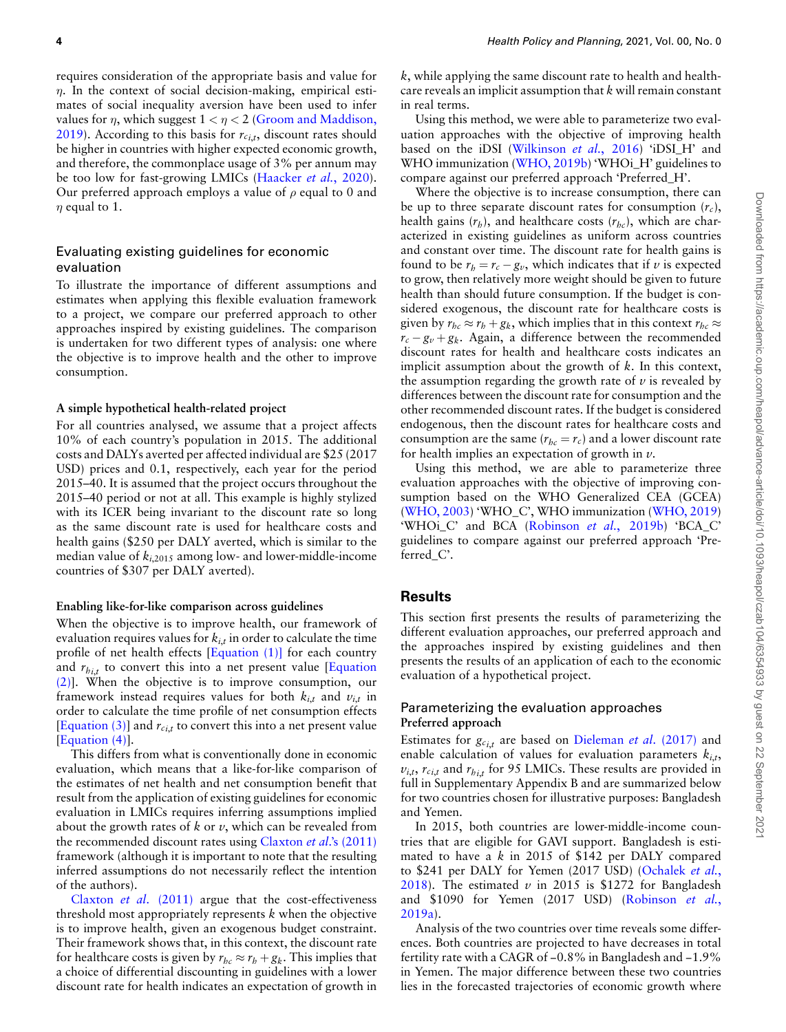requires consideration of the appropriate basis and value for  $\eta$ . In the context of social decision-making, empirical estimates of social inequality aversion have been used to infer values for  $\eta$ , which suggest  $1 < \eta < 2$  (Groom and Maddison, 2019). According to this basis for *rci*,*<sup>t</sup>* , discount rates should be higher in countries with higher expected economic growth, and therefore, the commonplace usage of 3% per annum may be too low for fast-growing LMICs (Haacker *et al.*, 2020). Our preferred approach employs a value of  $\rho$  equal to 0 and  $\eta$  equal to 1.

## Evaluating existing guidelines for economic evaluation

To illustrate the importance of different assumptions and estimates when applying this flexible evaluation framework to a project, we compare our preferred approach to other approaches inspired by existing guidelines. The comparison is undertaken for two different types of analysis: one where the objective is to improve health and the other to improve consumption.

#### **A simple hypothetical health-related project**

For all countries analysed, we assume that a project affects 10% of each country's population in 2015. The additional costs and DALYs averted per affected individual are \$25 (2017 USD) prices and 0.1, respectively, each year for the period 2015–40. It is assumed that the project occurs throughout the 2015–40 period or not at all. This example is highly stylized with its ICER being invariant to the discount rate so long as the same discount rate is used for healthcare costs and health gains (\$250 per DALY averted, which is similar to the median value of *ki*,2015 among low- and lower-middle-income countries of \$307 per DALY averted).

#### **Enabling like-for-like comparison across guidelines**

When the objective is to improve health, our framework of evaluation requires values for *ki*,*<sup>t</sup>* in order to calculate the time profile of net health effects [Equation (1)] for each country and  $r_{h_{i,t}}$  to convert this into a net present value [Equation (2)]. When the objective is to improve consumption, our framework instead requires values for both  $k_{i,t}$  and  $v_{i,t}$  in order to calculate the time profile of net consumption effects [Equation  $(3)$ ] and  $r_{ci,t}$  to convert this into a net present value [Equation (4)].

This differs from what is conventionally done in economic evaluation, which means that a like-for-like comparison of the estimates of net health and net consumption benefit that result from the application of existing guidelines for economic evaluation in LMICs requires inferring assumptions implied about the growth rates of  $k$  or  $\nu$ , which can be revealed from the recommended discount rates using Claxton *et al*.'s (2011) framework (although it is important to note that the resulting inferred assumptions do not necessarily reflect the intention of the authors).

Claxton *et al*. (2011) argue that the cost-effectiveness threshold most appropriately represents *k* when the objective is to improve health, given an exogenous budget constraint. Their framework shows that, in this context, the discount rate for healthcare costs is given by  $r_{hc} \approx r_b + g_k$ . This implies that a choice of differential discounting in guidelines with a lower discount rate for health indicates an expectation of growth in *k*, while applying the same discount rate to health and healthcare reveals an implicit assumption that *k* will remain constant in real terms.

Using this method, we were able to parameterize two evaluation approaches with the objective of improving health based on the iDSI (Wilkinson *et al.*, 2016) 'iDSI\_H' and WHO immunization (WHO, 2019b) 'WHOi\_H' guidelines to compare against our preferred approach 'Preferred\_H'.

Where the objective is to increase consumption, there can be up to three separate discount rates for consumption  $(r_c)$ , health gains (*r<sup>h</sup>* ), and healthcare costs (*rhc*), which are characterized in existing guidelines as uniform across countries and constant over time. The discount rate for health gains is found to be  $r_h = r_c - g_v$ , which indicates that if *v* is expected to grow, then relatively more weight should be given to future health than should future consumption. If the budget is considered exogenous, the discount rate for healthcare costs is given by  $r_{hc} \approx r_h + g_k$ , which implies that in this context  $r_{hc} \approx$  $r_c - g_v + g_k$ . Again, a difference between the recommended discount rates for health and healthcare costs indicates an implicit assumption about the growth of *k*. In this context, the assumption regarding the growth rate of  $\nu$  is revealed by differences between the discount rate for consumption and the other recommended discount rates. If the budget is considered endogenous, then the discount rates for healthcare costs and consumption are the same ( $r_{hc} = r_c$ ) and a lower discount rate for health implies an expectation of growth in *v*.

Using this method, we are able to parameterize three evaluation approaches with the objective of improving consumption based on the WHO Generalized CEA (GCEA) (WHO, 2003) 'WHO\_C', WHO immunization (WHO, 2019) 'WHOi\_C' and BCA (Robinson *et al.*, 2019b) 'BCA\_C' guidelines to compare against our preferred approach 'Preferred\_C'.

## **Results**

This section first presents the results of parameterizing the different evaluation approaches, our preferred approach and the approaches inspired by existing guidelines and then presents the results of an application of each to the economic evaluation of a hypothetical project.

## Parameterizing the evaluation approaches **Preferred approach**

Estimates for  $g_{c_{i,t}}$  are based on Dieleman *et al.* (2017) and enable calculation of values for evaluation parameters  $k_{i,t}$ ,  $v_{i,t}$ ,  $r_{c_{i,t}}$  and  $r_{b_{i,t}}$  for 95 LMICs. These results are provided in full in Supplementary Appendix B and are summarized below for two countries chosen for illustrative purposes: Bangladesh and Yemen.

In 2015, both countries are lower-middle-income countries that are eligible for GAVI support. Bangladesh is estimated to have a *k* in 2015 of \$142 per DALY compared to \$241 per DALY for Yemen (2017 USD) (Ochalek *et al.*, 2018). The estimated  $\nu$  in 2015 is \$1272 for Bangladesh and \$1090 for Yemen (2017 USD) (Robinson *et al.*, 2019a).

Analysis of the two countries over time reveals some differences. Both countries are projected to have decreases in total fertility rate with a CAGR of −0.8% in Bangladesh and −1.9% in Yemen. The major difference between these two countries lies in the forecasted trajectories of economic growth where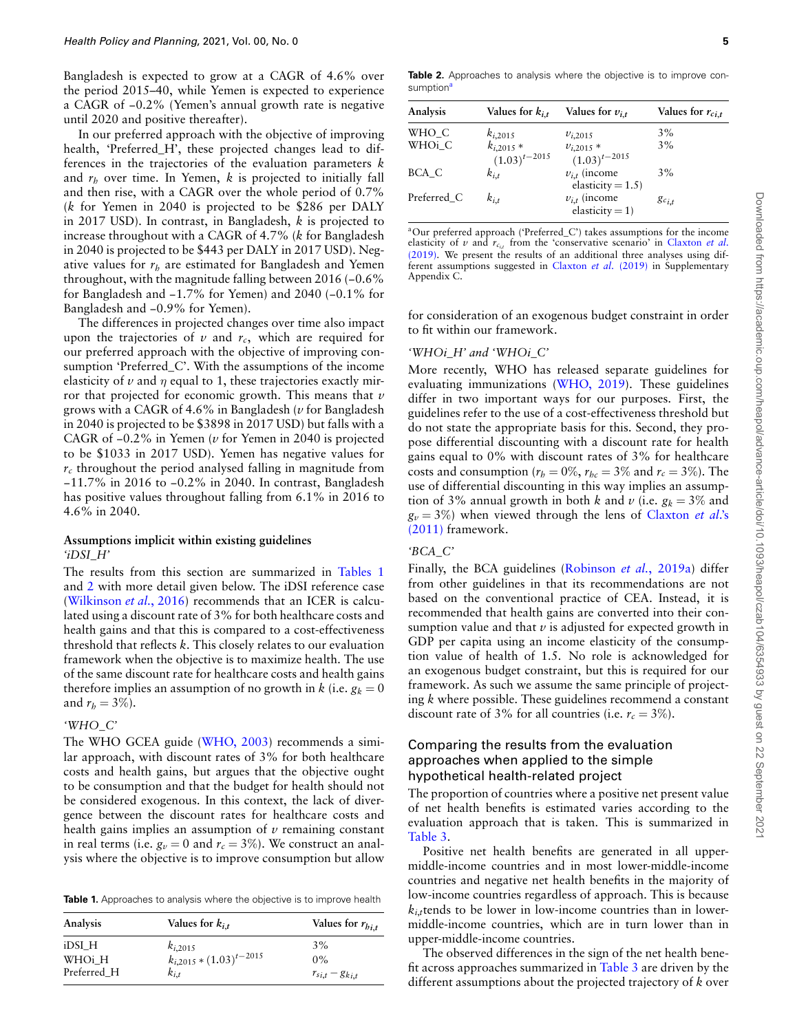Bangladesh is expected to grow at a CAGR of 4.6% over the period 2015–40, while Yemen is expected to experience a CAGR of −0.2% (Yemen's annual growth rate is negative until 2020 and positive thereafter).

In our preferred approach with the objective of improving health, 'Preferred\_H', these projected changes lead to differences in the trajectories of the evaluation parameters *k* and  $r_h$  over time. In Yemen,  $k$  is projected to initially fall and then rise, with a CAGR over the whole period of 0.7% (*k* for Yemen in 2040 is projected to be \$286 per DALY in 2017 USD). In contrast, in Bangladesh, *k* is projected to increase throughout with a CAGR of 4.7% (*k* for Bangladesh in 2040 is projected to be \$443 per DALY in 2017 USD). Negative values for  $r_h$  are estimated for Bangladesh and Yemen throughout, with the magnitude falling between 2016 (−0.6% for Bangladesh and −1.7% for Yemen) and 2040 (−0.1% for Bangladesh and −0.9% for Yemen).

The differences in projected changes over time also impact upon the trajectories of  $\nu$  and  $r_c$ , which are required for our preferred approach with the objective of improving consumption 'Preferred\_C'. With the assumptions of the income elasticity of  $\nu$  and  $\eta$  equal to 1, these trajectories exactly mirror that projected for economic growth. This means that *v* grows with a CAGR of 4.6% in Bangladesh (*v* for Bangladesh in 2040 is projected to be \$3898 in 2017 USD) but falls with a CAGR of −0.2% in Yemen (*v* for Yemen in 2040 is projected to be \$1033 in 2017 USD). Yemen has negative values for  $r_c$  throughout the period analysed falling in magnitude from −11.7% in 2016 to −0.2% in 2040. In contrast, Bangladesh has positive values throughout falling from 6.1% in 2016 to 4.6% in 2040.

#### **Assumptions implicit within existing guidelines** *'iDSI\_H'*

The results from this section are summarized in Tables 1 and 2 with more detail given below. The iDSI reference case (Wilkinson *et al.*, 2016) recommends that an ICER is calculated using a discount rate of 3% for both healthcare costs and health gains and that this is compared to a cost-effectiveness threshold that reflects *k*. This closely relates to our evaluation framework when the objective is to maximize health. The use of the same discount rate for healthcare costs and health gains therefore implies an assumption of no growth in *k* (i.e.  $g_k = 0$ and  $r_h = 3\%$ ).

#### *'WHO\_C'*

The WHO GCEA guide (WHO, 2003) recommends a similar approach, with discount rates of 3% for both healthcare costs and health gains, but argues that the objective ought to be consumption and that the budget for health should not be considered exogenous. In this context, the lack of divergence between the discount rates for healthcare costs and health gains implies an assumption of *v* remaining constant in real terms (i.e.  $g_v = 0$  and  $r_c = 3\%$ ). We construct an analysis where the objective is to improve consumption but allow

**Table 1.** Approaches to analysis where the objective is to improve health

| Analysis         | Values for $k_{i,t}$                           | Values for $r_{b,i,t}$    |  |
|------------------|------------------------------------------------|---------------------------|--|
| iDSI H<br>WHOi_H | $k_{i,2015}$<br>$k_{i,2015} * (1.03)^{t-2015}$ | 3%<br>$0\%$               |  |
| Preferred H      | $k_{i.t}$                                      | $r_{s_{i,t}}-g_{k_{i,t}}$ |  |

**Table 2.** Approaches to analysis where the objective is to improve consumption<sup>6</sup>

| Analysis        | Values for $k_{i,t}$                                | Values for $v_{i,t}$                                | Values for $r_{ci,t}$ |
|-----------------|-----------------------------------------------------|-----------------------------------------------------|-----------------------|
| WHO_C<br>WHOi C | $k_{i,2015}$<br>$k_{i,2015}$ *<br>$(1.03)^{t-2015}$ | $v_{i,2015}$<br>$v_{i,2015}$ *<br>$(1.03)^{t-2015}$ | 3%<br>3%              |
| BCA C           | $k_{i,t}$                                           | $v_{i,t}$ (income<br>elasticity = $1.5$ )           | 3%                    |
| Preferred C     | $k_{i.t}$                                           | $v_{i,t}$ (income<br>elasticity = $1$ )             | $g_{c_{i,t}}$         |

<sup>a</sup>Our preferred approach ('Preferred\_C') takes assumptions for the income elasticity of *v* and  $r_{c_{i,t}}$  from the 'conservative scenario' in Claxton *et al.* (2019). We present the results of an additional three analyses using different assumptions suggested in Claxton *et al*. (2019) in Supplementary Appendix C.

for consideration of an exogenous budget constraint in order to fit within our framework.

#### *'WHOi\_H' and 'WHOi\_C'*

More recently, WHO has released separate guidelines for evaluating immunizations (WHO, 2019). These guidelines differ in two important ways for our purposes. First, the guidelines refer to the use of a cost-effectiveness threshold but do not state the appropriate basis for this. Second, they propose differential discounting with a discount rate for health gains equal to 0% with discount rates of 3% for healthcare costs and consumption ( $r_h = 0\%$ ,  $r_{hc} = 3\%$  and  $r_c = 3\%$ ). The use of differential discounting in this way implies an assumption of 3% annual growth in both *k* and *v* (i.e.  $g_k = 3\%$  and  $g_v = 3\%$ ) when viewed through the lens of Claxton *et al.*'s (2011) framework.

### *'BCA\_C'*

Finally, the BCA guidelines (Robinson *et al.*, 2019a) differ from other guidelines in that its recommendations are not based on the conventional practice of CEA. Instead, it is recommended that health gains are converted into their consumption value and that  $\nu$  is adjusted for expected growth in GDP per capita using an income elasticity of the consumption value of health of 1.5. No role is acknowledged for an exogenous budget constraint, but this is required for our framework. As such we assume the same principle of projecting *k* where possible. These guidelines recommend a constant discount rate of 3% for all countries (i.e.  $r_c = 3\%$ ).

# Comparing the results from the evaluation approaches when applied to the simple hypothetical health-related project

The proportion of countries where a positive net present value of net health benefits is estimated varies according to the evaluation approach that is taken. This is summarized in Table 3.

Positive net health benefits are generated in all uppermiddle-income countries and in most lower-middle-income countries and negative net health benefits in the majority of low-income countries regardless of approach. This is because  $k_{i,t}$  tends to be lower in low-income countries than in lowermiddle-income countries, which are in turn lower than in upper-middle-income countries.

The observed differences in the sign of the net health benefit across approaches summarized in Table 3 are driven by the different assumptions about the projected trajectory of *k* over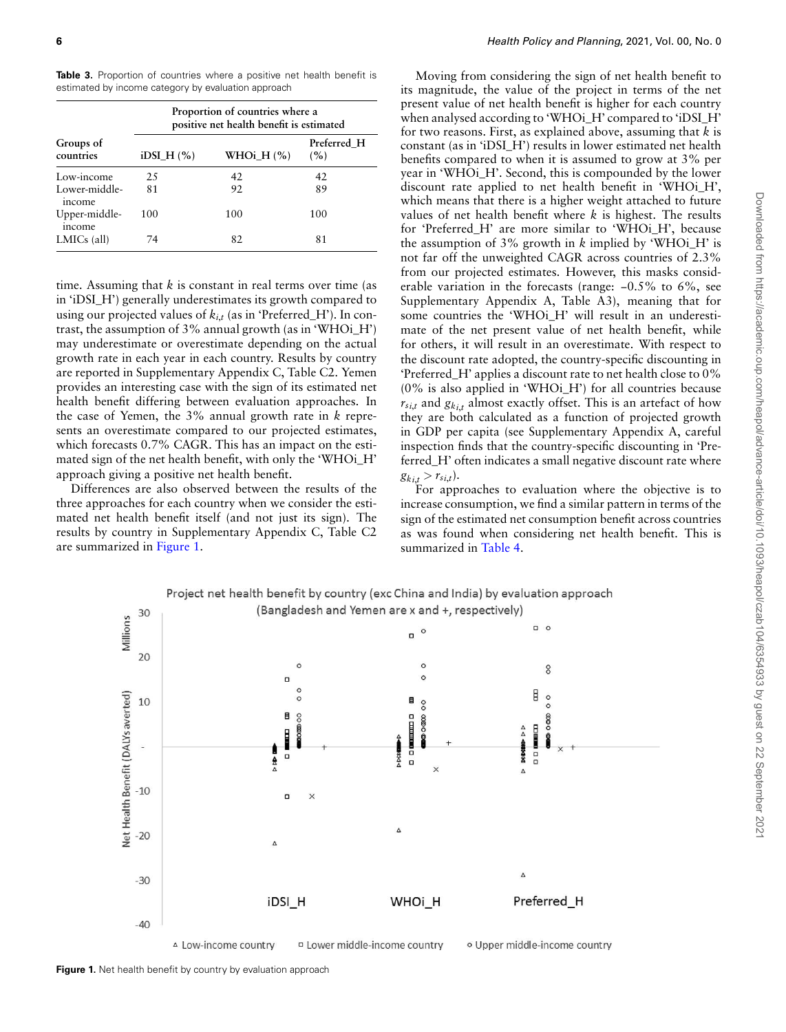Table 3. Proportion of countries where a positive net health benefit is estimated by income category by evaluation approach

|                         | Proportion of countries where a<br>positive net health benefit is estimated |              |                    |  |
|-------------------------|-----------------------------------------------------------------------------|--------------|--------------------|--|
| Groups of<br>countries  | $i$ DSI_H $(%)$                                                             | WHOi_H $(%)$ | Preferred H<br>(%) |  |
| Low-income              | 25                                                                          | 42           | 42                 |  |
| Lower-middle-<br>mcome  | 81                                                                          | 92           | 89                 |  |
| Upper-middle-<br>income | 100                                                                         | 100          | 100                |  |
| $LMICs$ (all)           | 74                                                                          | 82           | 81                 |  |

time. Assuming that *k* is constant in real terms over time (as in 'iDSI\_H') generally underestimates its growth compared to using our projected values of  $k_{i,t}$  (as in 'Preferred\_H'). In contrast, the assumption of 3% annual growth (as in 'WHOi\_H') may underestimate or overestimate depending on the actual growth rate in each year in each country. Results by country are reported in Supplementary Appendix C, Table C2. Yemen provides an interesting case with the sign of its estimated net health benefit differing between evaluation approaches. In the case of Yemen, the 3% annual growth rate in *k* represents an overestimate compared to our projected estimates, which forecasts 0.7% CAGR. This has an impact on the estimated sign of the net health benefit, with only the 'WHOi\_H' approach giving a positive net health benefit.

Differences are also observed between the results of the three approaches for each country when we consider the estimated net health benefit itself (and not just its sign). The results by country in Supplementary Appendix C, Table C2 are summarized in Figure 1.

Moving from considering the sign of net health benefit to its magnitude, the value of the project in terms of the net present value of net health benefit is higher for each country when analysed according to 'WHOi\_H' compared to 'iDSI\_H' for two reasons. First, as explained above, assuming that *k* is constant (as in 'iDSI\_H') results in lower estimated net health benefits compared to when it is assumed to grow at 3% per year in 'WHOi H'. Second, this is compounded by the lower discount rate applied to net health benefit in 'WHOi H', which means that there is a higher weight attached to future values of net health benefit where *k* is highest. The results for 'Preferred\_H' are more similar to 'WHOi\_H', because the assumption of 3% growth in *k* implied by 'WHOi\_H' is not far off the unweighted CAGR across countries of 2.3% from our projected estimates. However, this masks considerable variation in the forecasts (range: −0.5% to 6%, see Supplementary Appendix A, Table A3), meaning that for some countries the 'WHOi\_H' will result in an underestimate of the net present value of net health benefit, while for others, it will result in an overestimate. With respect to the discount rate adopted, the country-specific discounting in 'Preferred\_H' applies a discount rate to net health close to 0% (0% is also applied in 'WHOi\_H') for all countries because  $r_{s_{i,t}}$  and  $g_{k_{i,t}}$  almost exactly offset. This is an artefact of how they are both calculated as a function of projected growth in GDP per capita (see Supplementary Appendix A, careful inspection finds that the country-specific discounting in 'Preferred\_H' often indicates a small negative discount rate where  $g_{k_{i,t}} > r_{s_{i,t}}$ ).

For approaches to evaluation where the objective is to increase consumption, we find a similar pattern in terms of the sign of the estimated net consumption benefit across countries as was found when considering net health benefit. This is summarized in Table 4.

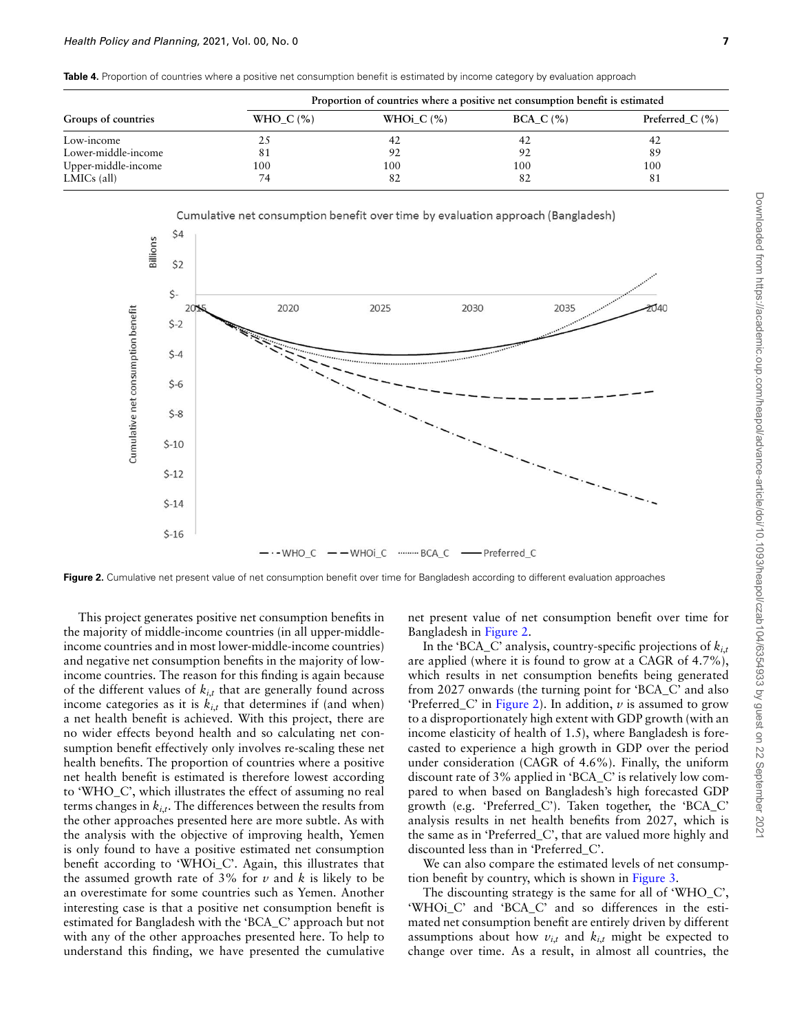|  |  | Table 4. Proportion of countries where a positive net consumption benefit is estimated by income category by evaluation approach |  |  |  |  |  |
|--|--|----------------------------------------------------------------------------------------------------------------------------------|--|--|--|--|--|
|--|--|----------------------------------------------------------------------------------------------------------------------------------|--|--|--|--|--|

| Groups of countries | Proportion of countries where a positive net consumption benefit is estimated |              |             |                   |  |
|---------------------|-------------------------------------------------------------------------------|--------------|-------------|-------------------|--|
|                     | WHO_C $(\% )$                                                                 | WHOi $C(\%)$ | BCA $C$ (%) | Preferred $C$ (%) |  |
| Low-income          |                                                                               |              |             | -42               |  |
| Lower-middle-income | 81                                                                            |              | 92          | 89                |  |
| Upper-middle-income | 100                                                                           | 100          | 100         | 100               |  |
| $LMICs$ (all)       | 74                                                                            |              | 82          | 81                |  |



**Figure 2.** Cumulative net present value of net consumption benefit over time for Bangladesh according to different evaluation approaches

This project generates positive net consumption benefits in the majority of middle-income countries (in all upper-middleincome countries and in most lower-middle-income countries) and negative net consumption benefits in the majority of lowincome countries. The reason for this finding is again because of the different values of *ki*,*<sup>t</sup>* that are generally found across income categories as it is  $k_{i,t}$  that determines if (and when) a net health benefit is achieved. With this project, there are no wider effects beyond health and so calculating net consumption benefit effectively only involves re-scaling these net health benefits. The proportion of countries where a positive net health benefit is estimated is therefore lowest according to 'WHO\_C', which illustrates the effect of assuming no real terms changes in *ki*,*<sup>t</sup>* . The differences between the results from the other approaches presented here are more subtle. As with the analysis with the objective of improving health, Yemen is only found to have a positive estimated net consumption benefit according to 'WHOi\_C'. Again, this illustrates that the assumed growth rate of  $3\%$  for  $\nu$  and  $k$  is likely to be an overestimate for some countries such as Yemen. Another interesting case is that a positive net consumption benefit is estimated for Bangladesh with the 'BCA\_C' approach but not with any of the other approaches presented here. To help to understand this finding, we have presented the cumulative net present value of net consumption benefit over time for Bangladesh in Figure 2.

In the 'BCA\_C' analysis, country-specific projections of  $k_{i,t}$ are applied (where it is found to grow at a CAGR of 4.7%), which results in net consumption benefits being generated from 2027 onwards (the turning point for 'BCA\_C' and also 'Preferred\_C' in Figure 2). In addition, *v* is assumed to grow to a disproportionately high extent with GDP growth (with an income elasticity of health of 1.5), where Bangladesh is forecasted to experience a high growth in GDP over the period under consideration (CAGR of 4.6%). Finally, the uniform discount rate of 3% applied in 'BCA\_C' is relatively low compared to when based on Bangladesh's high forecasted GDP growth (e.g. 'Preferred\_C'). Taken together, the 'BCA\_C' analysis results in net health benefits from 2027, which is the same as in 'Preferred\_C', that are valued more highly and discounted less than in 'Preferred\_C'.

We can also compare the estimated levels of net consumption benefit by country, which is shown in Figure 3.

The discounting strategy is the same for all of 'WHO\_C', 'WHOi\_C' and 'BCA\_C' and so differences in the estimated net consumption benefit are entirely driven by different assumptions about how  $v_{i,t}$  and  $k_{i,t}$  might be expected to change over time. As a result, in almost all countries, the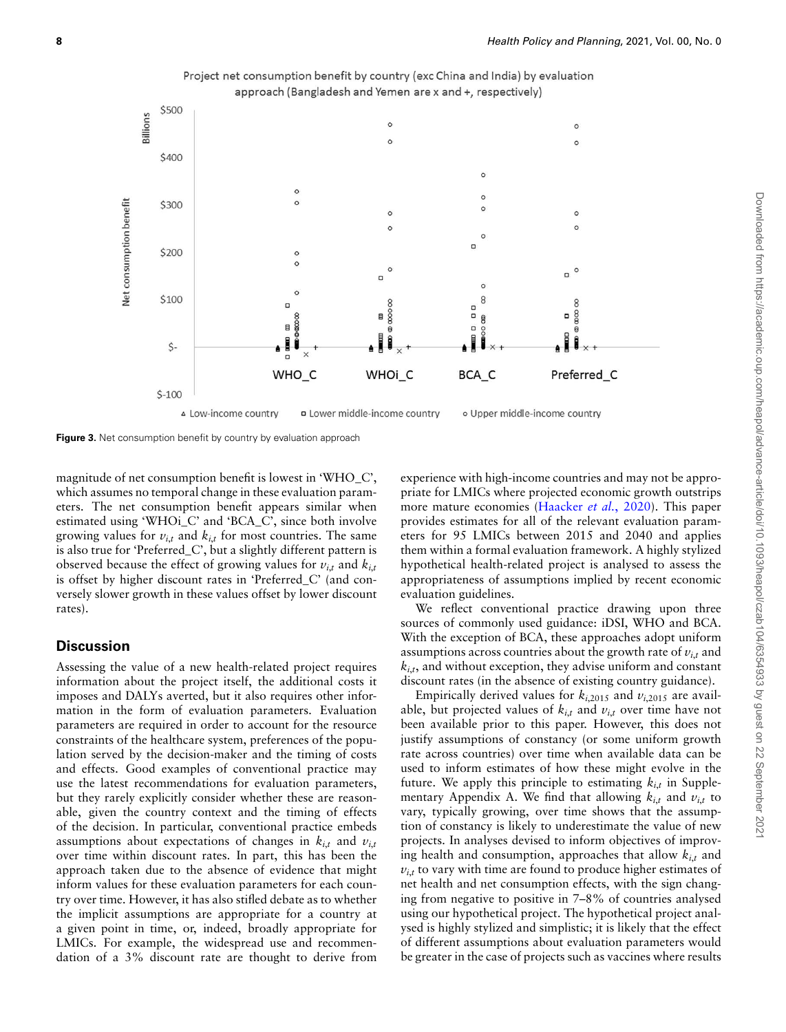

Project net consumption benefit by country (exc China and India) by evaluation approach (Bangladesh and Yemen are x and +, respectively)

**Figure 3.** Net consumption benefit by country by evaluation approach

magnitude of net consumption benefit is lowest in 'WHO\_C', which assumes no temporal change in these evaluation parameters. The net consumption benefit appears similar when estimated using 'WHOi\_C' and 'BCA\_C', since both involve growing values for  $v_{i,t}$  and  $k_{i,t}$  for most countries. The same is also true for 'Preferred\_C', but a slightly different pattern is observed because the effect of growing values for  $v_{i,t}$  and  $k_{i,t}$ is offset by higher discount rates in 'Preferred\_C' (and conversely slower growth in these values offset by lower discount rates).

#### **Discussion**

Assessing the value of a new health-related project requires information about the project itself, the additional costs it imposes and DALYs averted, but it also requires other information in the form of evaluation parameters. Evaluation parameters are required in order to account for the resource constraints of the healthcare system, preferences of the population served by the decision-maker and the timing of costs and effects. Good examples of conventional practice may use the latest recommendations for evaluation parameters, but they rarely explicitly consider whether these are reasonable, given the country context and the timing of effects of the decision. In particular, conventional practice embeds assumptions about expectations of changes in  $k_{i,t}$  and  $v_{i,t}$ over time within discount rates. In part, this has been the approach taken due to the absence of evidence that might inform values for these evaluation parameters for each country over time. However, it has also stifled debate as to whether the implicit assumptions are appropriate for a country at a given point in time, or, indeed, broadly appropriate for LMICs. For example, the widespread use and recommendation of a 3% discount rate are thought to derive from

experience with high-income countries and may not be appropriate for LMICs where projected economic growth outstrips more mature economies (Haacker *et al.*, 2020). This paper provides estimates for all of the relevant evaluation parameters for 95 LMICs between 2015 and 2040 and applies them within a formal evaluation framework. A highly stylized hypothetical health-related project is analysed to assess the appropriateness of assumptions implied by recent economic evaluation guidelines.

We reflect conventional practice drawing upon three sources of commonly used guidance: iDSI, WHO and BCA. With the exception of BCA, these approaches adopt uniform assumptions across countries about the growth rate of *vi*,*<sup>t</sup>* and  $k_{i,t}$ , and without exception, they advise uniform and constant discount rates (in the absence of existing country guidance).

Empirically derived values for  $k_{i,2015}$  and  $v_{i,2015}$  are available, but projected values of  $k_{i,t}$  and  $v_{i,t}$  over time have not been available prior to this paper. However, this does not justify assumptions of constancy (or some uniform growth rate across countries) over time when available data can be used to inform estimates of how these might evolve in the future. We apply this principle to estimating  $k_{i,t}$  in Supplementary Appendix A. We find that allowing  $k_{i,t}$  and  $v_{i,t}$  to vary, typically growing, over time shows that the assumption of constancy is likely to underestimate the value of new projects. In analyses devised to inform objectives of improving health and consumption, approaches that allow *ki*,*<sup>t</sup>* and  $v_{i,t}$  to vary with time are found to produce higher estimates of net health and net consumption effects, with the sign changing from negative to positive in 7–8% of countries analysed using our hypothetical project. The hypothetical project analysed is highly stylized and simplistic; it is likely that the effect of different assumptions about evaluation parameters would be greater in the case of projects such as vaccines where results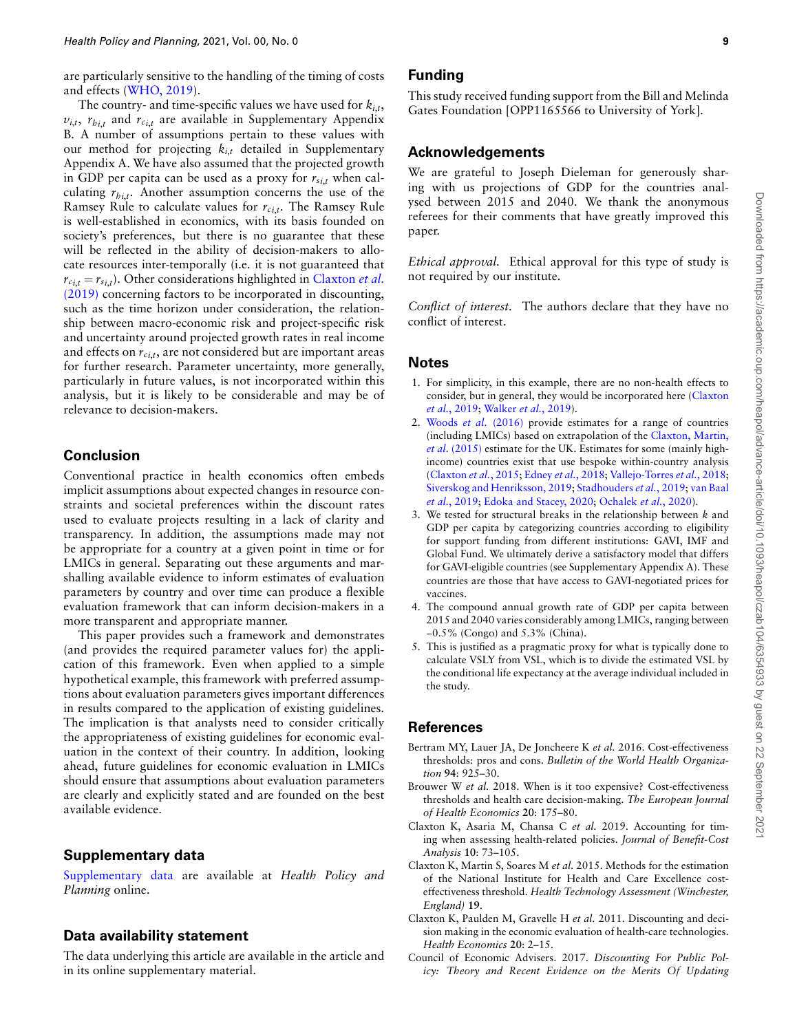are particularly sensitive to the handling of the timing of costs and effects (WHO, 2019).

The country- and time-specific values we have used for *ki*,*<sup>t</sup>* ,  $v_{i,t}$ ,  $r_{h_{i,t}}$  and  $r_{c_{i,t}}$  are available in Supplementary Appendix B. A number of assumptions pertain to these values with our method for projecting *ki*,*<sup>t</sup>* detailed in Supplementary Appendix A. We have also assumed that the projected growth in GDP per capita can be used as a proxy for  $r_{s,i,t}$  when calculating *rhi*,*<sup>t</sup>* . Another assumption concerns the use of the Ramsey Rule to calculate values for *rci*,*<sup>t</sup>* . The Ramsey Rule is well-established in economics, with its basis founded on society's preferences, but there is no guarantee that these will be reflected in the ability of decision-makers to allocate resources inter-temporally (i.e. it is not guaranteed that *rci*,*<sup>t</sup>* = *rsi*,*<sup>t</sup>* ). Other considerations highlighted in Claxton *et al*. (2019) concerning factors to be incorporated in discounting, such as the time horizon under consideration, the relationship between macro-economic risk and project-specific risk and uncertainty around projected growth rates in real income and effects on *rci*,*<sup>t</sup>* , are not considered but are important areas for further research. Parameter uncertainty, more generally, particularly in future values, is not incorporated within this analysis, but it is likely to be considerable and may be of relevance to decision-makers.

# **Conclusion**

Conventional practice in health economics often embeds implicit assumptions about expected changes in resource constraints and societal preferences within the discount rates used to evaluate projects resulting in a lack of clarity and transparency. In addition, the assumptions made may not be appropriate for a country at a given point in time or for LMICs in general. Separating out these arguments and marshalling available evidence to inform estimates of evaluation parameters by country and over time can produce a flexible evaluation framework that can inform decision-makers in a more transparent and appropriate manner.

This paper provides such a framework and demonstrates (and provides the required parameter values for) the application of this framework. Even when applied to a simple hypothetical example, this framework with preferred assumptions about evaluation parameters gives important differences in results compared to the application of existing guidelines. The implication is that analysts need to consider critically the appropriateness of existing guidelines for economic evaluation in the context of their country. In addition, looking ahead, future guidelines for economic evaluation in LMICs should ensure that assumptions about evaluation parameters are clearly and explicitly stated and are founded on the best available evidence.

## **Supplementary data**

Supplementary data are available at *Health Policy and Planning* online.

# **Data availability statement**

The data underlying this article are available in the article and in its online supplementary material.

## **Funding**

This study received funding support from the Bill and Melinda Gates Foundation [OPP1165566 to University of York].

# **Acknowledgements**

We are grateful to Joseph Dieleman for generously sharing with us projections of GDP for the countries analysed between 2015 and 2040. We thank the anonymous referees for their comments that have greatly improved this paper.

*Ethical approval.* Ethical approval for this type of study is not required by our institute.

*Conflict of interest.* The authors declare that they have no conflict of interest.

## **Notes**

- 1. For simplicity, in this example, there are no non-health effects to consider, but in general, they would be incorporated here (Claxton *et al.*, 2019; Walker *et al.*, 2019).
- 2. Woods *et al*. (2016) provide estimates for a range of countries (including LMICs) based on extrapolation of the Claxton, Martin, *et al*. (2015) estimate for the UK. Estimates for some (mainly highincome) countries exist that use bespoke within-country analysis (Claxton *et al.*, 2015; Edney *et al.*, 2018; Vallejo-Torres *et al.*, 2018; Siverskog and Henriksson, 2019; Stadhouders *et al.*, 2019; van Baal *et al.*, 2019; Edoka and Stacey, 2020; Ochalek *et al.*, 2020).
- 3. We tested for structural breaks in the relationship between *k* and GDP per capita by categorizing countries according to eligibility for support funding from different institutions: GAVI, IMF and Global Fund. We ultimately derive a satisfactory model that differs for GAVI-eligible countries (see Supplementary Appendix A). These countries are those that have access to GAVI-negotiated prices for vaccines.
- 4. The compound annual growth rate of GDP per capita between 2015 and 2040 varies considerably among LMICs, ranging between −0.5% (Congo) and 5.3% (China).
- 5. This is justified as a pragmatic proxy for what is typically done to calculate VSLY from VSL, which is to divide the estimated VSL by the conditional life expectancy at the average individual included in the study.

# **References**

- Bertram MY, Lauer JA, De Joncheere K *et al.* 2016. Cost-effectiveness thresholds: pros and cons. *Bulletin of the World Health Organization* **94**: 925–30.
- Brouwer W *et al.* 2018. When is it too expensive? Cost-effectiveness thresholds and health care decision-making. *The European Journal of Health Economics* **20**: 175–80.
- Claxton K, Asaria M, Chansa C *et al.* 2019. Accounting for timing when assessing health-related policies. *Journal of Benefit-Cost Analysis* **10**: 73–105.
- Claxton K, Martin S, Soares M *et al.* 2015. Methods for the estimation of the National Institute for Health and Care Excellence costeffectiveness threshold. *Health Technology Assessment (Winchester, England)* **19**.
- Claxton K, Paulden M, Gravelle H *et al.* 2011. Discounting and decision making in the economic evaluation of health-care technologies. *Health Economics* **20**: 2–15.
- Council of Economic Advisers. 2017. *Discounting For Public Policy: Theory and Recent Evidence on the Merits Of Updating*